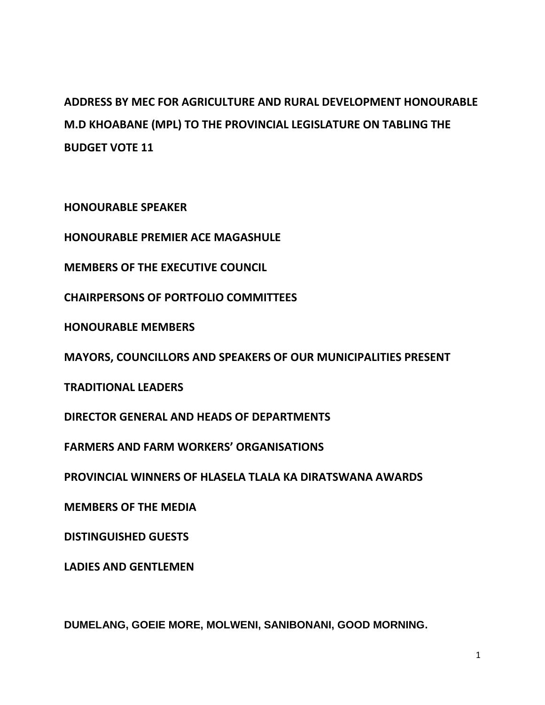## **ADDRESS BY MEC FOR AGRICULTURE AND RURAL DEVELOPMENT HONOURABLE M.D KHOABANE (MPL) TO THE PROVINCIAL LEGISLATURE ON TABLING THE BUDGET VOTE 11**

**HONOURABLE SPEAKER** 

**HONOURABLE PREMIER ACE MAGASHULE**

**MEMBERS OF THE EXECUTIVE COUNCIL**

**CHAIRPERSONS OF PORTFOLIO COMMITTEES**

**HONOURABLE MEMBERS**

**MAYORS, COUNCILLORS AND SPEAKERS OF OUR MUNICIPALITIES PRESENT**

**TRADITIONAL LEADERS**

**DIRECTOR GENERAL AND HEADS OF DEPARTMENTS**

**FARMERS AND FARM WORKERS' ORGANISATIONS**

**PROVINCIAL WINNERS OF HLASELA TLALA KA DIRATSWANA AWARDS**

**MEMBERS OF THE MEDIA**

**DISTINGUISHED GUESTS**

**LADIES AND GENTLEMEN**

**DUMELANG, GOEIE MORE, MOLWENI, SANIBONANI, GOOD MORNING.**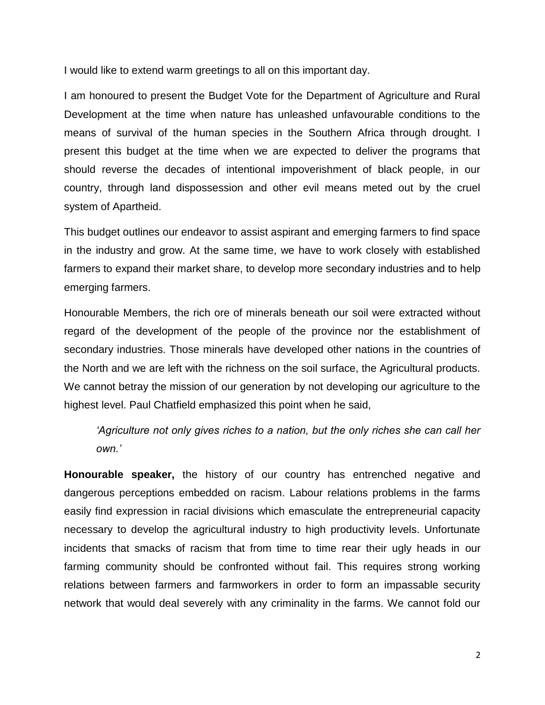I would like to extend warm greetings to all on this important day.

I am honoured to present the Budget Vote for the Department of Agriculture and Rural Development at the time when nature has unleashed unfavourable conditions to the means of survival of the human species in the Southern Africa through drought. I present this budget at the time when we are expected to deliver the programs that should reverse the decades of intentional impoverishment of black people, in our country, through land dispossession and other evil means meted out by the cruel system of Apartheid.

This budget outlines our endeavor to assist aspirant and emerging farmers to find space in the industry and grow. At the same time, we have to work closely with established farmers to expand their market share, to develop more secondary industries and to help emerging farmers.

Honourable Members, the rich ore of minerals beneath our soil were extracted without regard of the development of the people of the province nor the establishment of secondary industries. Those minerals have developed other nations in the countries of the North and we are left with the richness on the soil surface, the Agricultural products. We cannot betray the mission of our generation by not developing our agriculture to the highest level. Paul Chatfield emphasized this point when he said,

*'Agriculture not only gives riches to a nation, but the only riches she can call her own.'*

**Honourable speaker,** the history of our country has entrenched negative and dangerous perceptions embedded on racism. Labour relations problems in the farms easily find expression in racial divisions which emasculate the entrepreneurial capacity necessary to develop the agricultural industry to high productivity levels. Unfortunate incidents that smacks of racism that from time to time rear their ugly heads in our farming community should be confronted without fail. This requires strong working relations between farmers and farmworkers in order to form an impassable security network that would deal severely with any criminality in the farms. We cannot fold our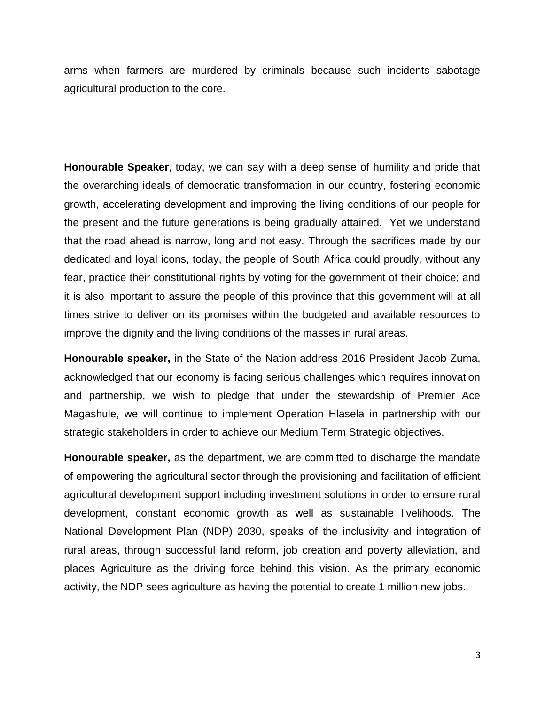arms when farmers are murdered by criminals because such incidents sabotage agricultural production to the core.

**Honourable Speaker**, today, we can say with a deep sense of humility and pride that the overarching ideals of democratic transformation in our country, fostering economic growth, accelerating development and improving the living conditions of our people for the present and the future generations is being gradually attained. Yet we understand that the road ahead is narrow, long and not easy. Through the sacrifices made by our dedicated and loyal icons, today, the people of South Africa could proudly, without any fear, practice their constitutional rights by voting for the government of their choice; and it is also important to assure the people of this province that this government will at all times strive to deliver on its promises within the budgeted and available resources to improve the dignity and the living conditions of the masses in rural areas.

**Honourable speaker,** in the State of the Nation address 2016 President Jacob Zuma, acknowledged that our economy is facing serious challenges which requires innovation and partnership, we wish to pledge that under the stewardship of Premier Ace Magashule, we will continue to implement Operation Hlasela in partnership with our strategic stakeholders in order to achieve our Medium Term Strategic objectives.

**Honourable speaker,** as the department, we are committed to discharge the mandate of empowering the agricultural sector through the provisioning and facilitation of efficient agricultural development support including investment solutions in order to ensure rural development, constant economic growth as well as sustainable livelihoods. The National Development Plan (NDP) 2030, speaks of the inclusivity and integration of rural areas, through successful land reform, job creation and poverty alleviation, and places Agriculture as the driving force behind this vision. As the primary economic activity, the NDP sees agriculture as having the potential to create 1 million new jobs.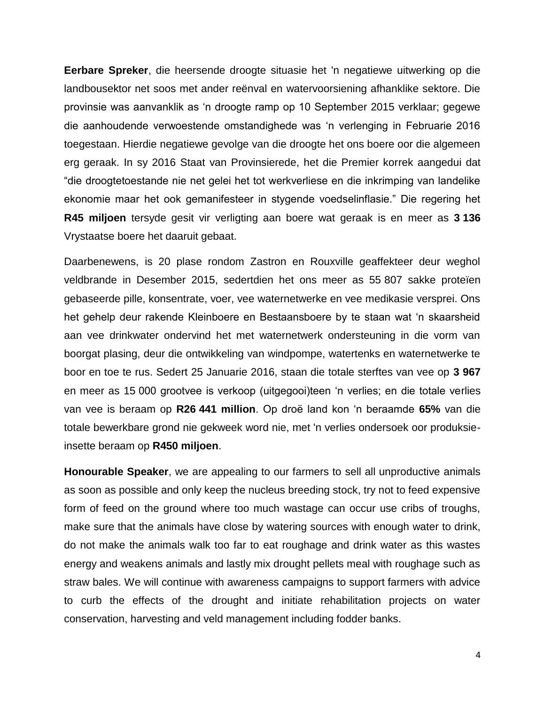**Eerbare Spreker**, die heersende droogte situasie het 'n negatiewe uitwerking op die landbousektor net soos met ander reënval en watervoorsiening afhanklike sektore. Die provinsie was aanvanklik as "n droogte ramp op 10 September 2015 verklaar; gegewe die aanhoudende verwoestende omstandighede was "n verlenging in Februarie 2016 toegestaan. Hierdie negatiewe gevolge van die droogte het ons boere oor die algemeen erg geraak. In sy 2016 Staat van Provinsierede, het die Premier korrek aangedui dat "die droogtetoestande nie net gelei het tot werkverliese en die inkrimping van landelike ekonomie maar het ook gemanifesteer in stygende voedselinflasie." Die regering het **R45 miljoen** tersyde gesit vir verligting aan boere wat geraak is en meer as **3 136** Vrystaatse boere het daaruit gebaat.

Daarbenewens, is 20 plase rondom Zastron en Rouxville geaffekteer deur weghol veldbrande in Desember 2015, sedertdien het ons meer as 55 807 sakke proteïen gebaseerde pille, konsentrate, voer, vee waternetwerke en vee medikasie versprei. Ons het gehelp deur rakende Kleinboere en Bestaansboere by te staan wat "n skaarsheid aan vee drinkwater ondervind het met waternetwerk ondersteuning in die vorm van boorgat plasing, deur die ontwikkeling van windpompe, watertenks en waternetwerke te boor en toe te rus. Sedert 25 Januarie 2016, staan die totale sterftes van vee op **3 967** en meer as 15 000 grootvee is verkoop (uitgegooi)teen "n verlies; en die totale verlies van vee is beraam op **R26 441 million**. Op droë land kon "n beraamde **65%** van die totale bewerkbare grond nie gekweek word nie, met 'n verlies ondersoek oor produksieinsette beraam op **R450 miljoen**.

**Honourable Speaker**, we are appealing to our farmers to sell all unproductive animals as soon as possible and only keep the nucleus breeding stock, try not to feed expensive form of feed on the ground where too much wastage can occur use cribs of troughs, make sure that the animals have close by watering sources with enough water to drink, do not make the animals walk too far to eat roughage and drink water as this wastes energy and weakens animals and lastly mix drought pellets meal with roughage such as straw bales. We will continue with awareness campaigns to support farmers with advice to curb the effects of the drought and initiate rehabilitation projects on water conservation, harvesting and veld management including fodder banks.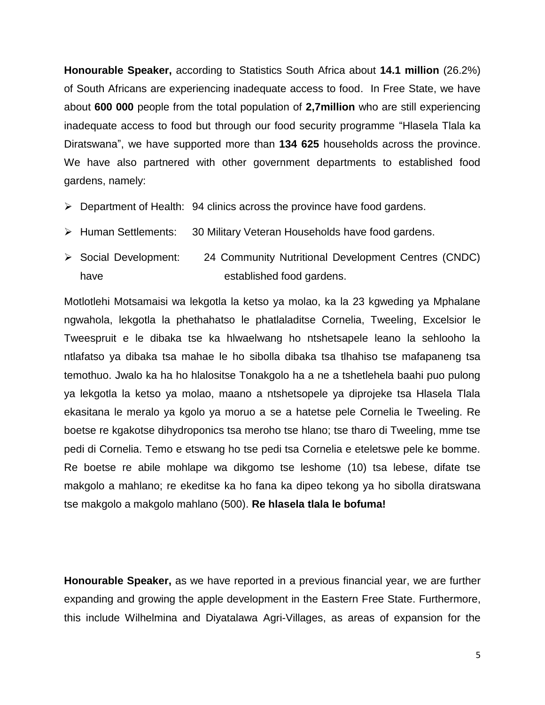**Honourable Speaker,** according to Statistics South Africa about **14.1 million** (26.2%) of South Africans are experiencing inadequate access to food. In Free State, we have about **600 000** people from the total population of **2,7million** who are still experiencing inadequate access to food but through our food security programme "Hlasela Tlala ka Diratswana", we have supported more than **134 625** households across the province. We have also partnered with other government departments to established food gardens, namely:

- $\triangleright$  Department of Health: 94 clinics across the province have food gardens.
- > Human Settlements: 30 Military Veteran Households have food gardens.
- Social Development: 24 Community Nutritional Development Centres (CNDC) have **established** food gardens.

Motlotlehi Motsamaisi wa lekgotla la ketso ya molao, ka la 23 kgweding ya Mphalane ngwahola, lekgotla la phethahatso le phatlaladitse Cornelia, Tweeling, Excelsior le Tweespruit e le dibaka tse ka hlwaelwang ho ntshetsapele leano la sehlooho la ntlafatso ya dibaka tsa mahae le ho sibolla dibaka tsa tlhahiso tse mafapaneng tsa temothuo. Jwalo ka ha ho hlalositse Tonakgolo ha a ne a tshetlehela baahi puo pulong ya lekgotla la ketso ya molao, maano a ntshetsopele ya diprojeke tsa Hlasela Tlala ekasitana le meralo ya kgolo ya moruo a se a hatetse pele Cornelia le Tweeling. Re boetse re kgakotse dihydroponics tsa meroho tse hlano; tse tharo di Tweeling, mme tse pedi di Cornelia. Temo e etswang ho tse pedi tsa Cornelia e eteletswe pele ke bomme. Re boetse re abile mohlape wa dikgomo tse leshome (10) tsa lebese, difate tse makgolo a mahlano; re ekeditse ka ho fana ka dipeo tekong ya ho sibolla diratswana tse makgolo a makgolo mahlano (500). **Re hlasela tlala le bofuma!**

**Honourable Speaker,** as we have reported in a previous financial year, we are further expanding and growing the apple development in the Eastern Free State. Furthermore, this include Wilhelmina and Diyatalawa Agri-Villages, as areas of expansion for the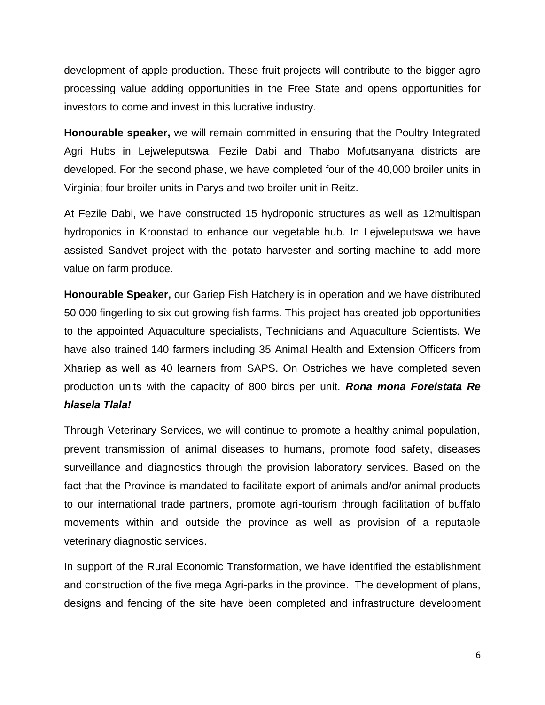development of apple production. These fruit projects will contribute to the bigger agro processing value adding opportunities in the Free State and opens opportunities for investors to come and invest in this lucrative industry.

**Honourable speaker,** we will remain committed in ensuring that the Poultry Integrated Agri Hubs in Lejweleputswa, Fezile Dabi and Thabo Mofutsanyana districts are developed. For the second phase, we have completed four of the 40,000 broiler units in Virginia; four broiler units in Parys and two broiler unit in Reitz.

At Fezile Dabi, we have constructed 15 hydroponic structures as well as 12multispan hydroponics in Kroonstad to enhance our vegetable hub. In Lejweleputswa we have assisted Sandvet project with the potato harvester and sorting machine to add more value on farm produce.

**Honourable Speaker,** our Gariep Fish Hatchery is in operation and we have distributed 50 000 fingerling to six out growing fish farms. This project has created job opportunities to the appointed Aquaculture specialists, Technicians and Aquaculture Scientists. We have also trained 140 farmers including 35 Animal Health and Extension Officers from Xhariep as well as 40 learners from SAPS. On Ostriches we have completed seven production units with the capacity of 800 birds per unit. *Rona mona Foreistata Re hlasela Tlala!*

Through Veterinary Services, we will continue to promote a healthy animal population, prevent transmission of animal diseases to humans, promote food safety, diseases surveillance and diagnostics through the provision laboratory services. Based on the fact that the Province is mandated to facilitate export of animals and/or animal products to our international trade partners, promote agri-tourism through facilitation of buffalo movements within and outside the province as well as provision of a reputable veterinary diagnostic services.

In support of the Rural Economic Transformation, we have identified the establishment and construction of the five mega Agri-parks in the province. The development of plans, designs and fencing of the site have been completed and infrastructure development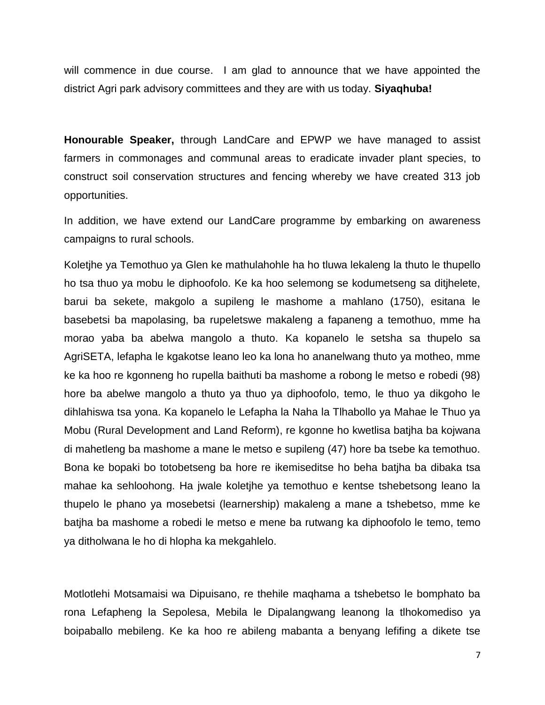will commence in due course. I am glad to announce that we have appointed the district Agri park advisory committees and they are with us today. **Siyaqhuba!**

**Honourable Speaker,** through LandCare and EPWP we have managed to assist farmers in commonages and communal areas to eradicate invader plant species, to construct soil conservation structures and fencing whereby we have created 313 job opportunities.

In addition, we have extend our LandCare programme by embarking on awareness campaigns to rural schools.

Koletjhe ya Temothuo ya Glen ke mathulahohle ha ho tluwa lekaleng la thuto le thupello ho tsa thuo ya mobu le diphoofolo. Ke ka hoo selemong se kodumetseng sa ditjhelete, barui ba sekete, makgolo a supileng le mashome a mahlano (1750), esitana le basebetsi ba mapolasing, ba rupeletswe makaleng a fapaneng a temothuo, mme ha morao yaba ba abelwa mangolo a thuto. Ka kopanelo le setsha sa thupelo sa AgriSETA, lefapha le kgakotse leano leo ka lona ho ananelwang thuto ya motheo, mme ke ka hoo re kgonneng ho rupella baithuti ba mashome a robong le metso e robedi (98) hore ba abelwe mangolo a thuto ya thuo ya diphoofolo, temo, le thuo ya dikgoho le dihlahiswa tsa yona. Ka kopanelo le Lefapha la Naha la Tlhabollo ya Mahae le Thuo ya Mobu (Rural Development and Land Reform), re kgonne ho kwetlisa batjha ba kojwana di mahetleng ba mashome a mane le metso e supileng (47) hore ba tsebe ka temothuo. Bona ke bopaki bo totobetseng ba hore re ikemiseditse ho beha batjha ba dibaka tsa mahae ka sehloohong. Ha jwale koletjhe ya temothuo e kentse tshebetsong leano la thupelo le phano ya mosebetsi (learnership) makaleng a mane a tshebetso, mme ke batjha ba mashome a robedi le metso e mene ba rutwang ka diphoofolo le temo, temo ya ditholwana le ho di hlopha ka mekgahlelo.

Motlotlehi Motsamaisi wa Dipuisano, re thehile maqhama a tshebetso le bomphato ba rona Lefapheng la Sepolesa, Mebila le Dipalangwang leanong la tlhokomediso ya boipaballo mebileng. Ke ka hoo re abileng mabanta a benyang lefifing a dikete tse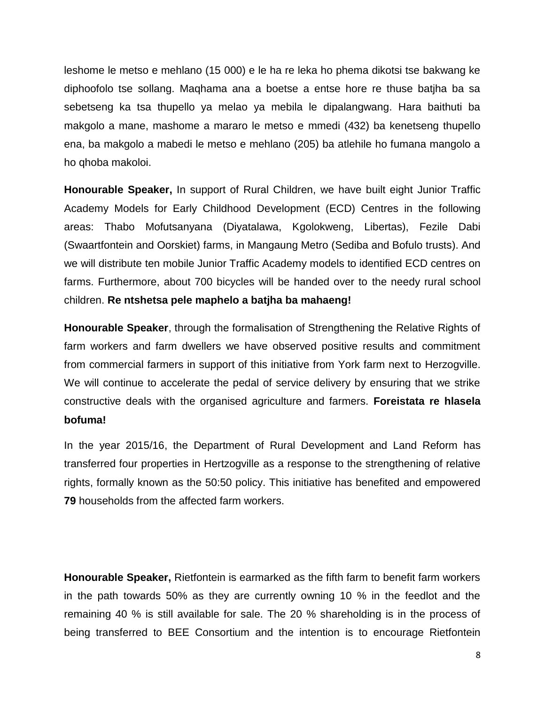leshome le metso e mehlano (15 000) e le ha re leka ho phema dikotsi tse bakwang ke diphoofolo tse sollang. Maqhama ana a boetse a entse hore re thuse batjha ba sa sebetseng ka tsa thupello ya melao ya mebila le dipalangwang. Hara baithuti ba makgolo a mane, mashome a mararo le metso e mmedi (432) ba kenetseng thupello ena, ba makgolo a mabedi le metso e mehlano (205) ba atlehile ho fumana mangolo a ho qhoba makoloi.

**Honourable Speaker,** In support of Rural Children, we have built eight Junior Traffic Academy Models for Early Childhood Development (ECD) Centres in the following areas: Thabo Mofutsanyana (Diyatalawa, Kgolokweng, Libertas), Fezile Dabi (Swaartfontein and Oorskiet) farms, in Mangaung Metro (Sediba and Bofulo trusts). And we will distribute ten mobile Junior Traffic Academy models to identified ECD centres on farms. Furthermore, about 700 bicycles will be handed over to the needy rural school children. **Re ntshetsa pele maphelo a batjha ba mahaeng!**

**Honourable Speaker**, through the formalisation of Strengthening the Relative Rights of farm workers and farm dwellers we have observed positive results and commitment from commercial farmers in support of this initiative from York farm next to Herzogville. We will continue to accelerate the pedal of service delivery by ensuring that we strike constructive deals with the organised agriculture and farmers. **Foreistata re hlasela bofuma!**

In the year 2015/16, the Department of Rural Development and Land Reform has transferred four properties in Hertzogville as a response to the strengthening of relative rights, formally known as the 50:50 policy. This initiative has benefited and empowered **79** households from the affected farm workers.

**Honourable Speaker,** Rietfontein is earmarked as the fifth farm to benefit farm workers in the path towards 50% as they are currently owning 10 % in the feedlot and the remaining 40 % is still available for sale. The 20 % shareholding is in the process of being transferred to BEE Consortium and the intention is to encourage Rietfontein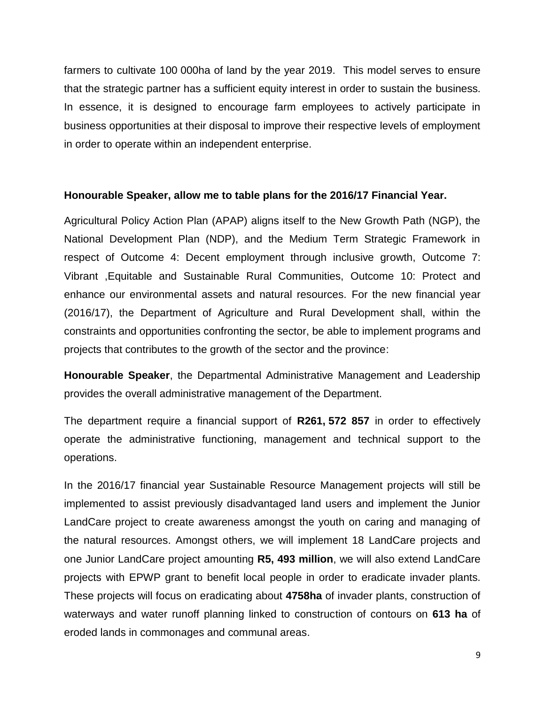farmers to cultivate 100 000ha of land by the year 2019. This model serves to ensure that the strategic partner has a sufficient equity interest in order to sustain the business. In essence, it is designed to encourage farm employees to actively participate in business opportunities at their disposal to improve their respective levels of employment in order to operate within an independent enterprise.

## **Honourable Speaker, allow me to table plans for the 2016/17 Financial Year.**

Agricultural Policy Action Plan (APAP) aligns itself to the New Growth Path (NGP), the National Development Plan (NDP), and the Medium Term Strategic Framework in respect of Outcome 4: Decent employment through inclusive growth, Outcome 7: Vibrant ,Equitable and Sustainable Rural Communities, Outcome 10: Protect and enhance our environmental assets and natural resources. For the new financial year (2016/17), the Department of Agriculture and Rural Development shall, within the constraints and opportunities confronting the sector, be able to implement programs and projects that contributes to the growth of the sector and the province:

**Honourable Speaker**, the Departmental Administrative Management and Leadership provides the overall administrative management of the Department.

The department require a financial support of **R261, 572 857** in order to effectively operate the administrative functioning, management and technical support to the operations.

In the 2016/17 financial year Sustainable Resource Management projects will still be implemented to assist previously disadvantaged land users and implement the Junior LandCare project to create awareness amongst the youth on caring and managing of the natural resources. Amongst others, we will implement 18 LandCare projects and one Junior LandCare project amounting **R5, 493 million**, we will also extend LandCare projects with EPWP grant to benefit local people in order to eradicate invader plants. These projects will focus on eradicating about **4758ha** of invader plants, construction of waterways and water runoff planning linked to construction of contours on **613 ha** of eroded lands in commonages and communal areas.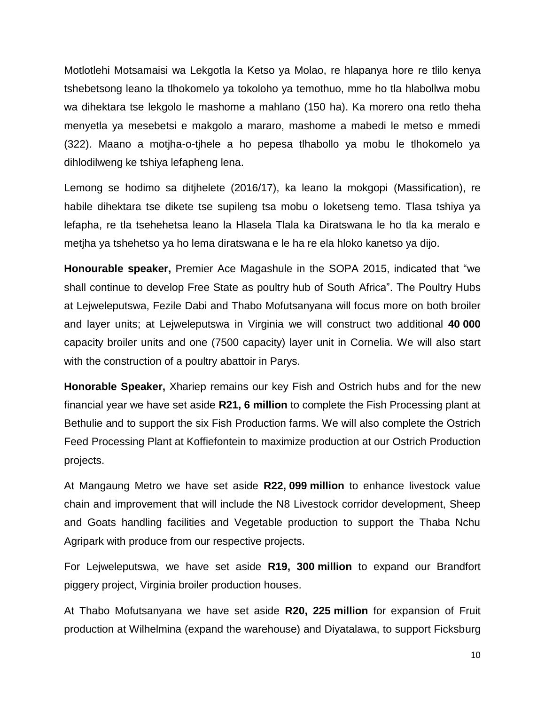Motlotlehi Motsamaisi wa Lekgotla la Ketso ya Molao, re hlapanya hore re tlilo kenya tshebetsong leano la tlhokomelo ya tokoloho ya temothuo, mme ho tla hlabollwa mobu wa dihektara tse lekgolo le mashome a mahlano (150 ha). Ka morero ona retlo theha menyetla ya mesebetsi e makgolo a mararo, mashome a mabedi le metso e mmedi (322). Maano a motjha-o-tjhele a ho pepesa tlhabollo ya mobu le tlhokomelo ya dihlodilweng ke tshiya lefapheng lena.

Lemong se hodimo sa ditjhelete (2016/17), ka leano la mokgopi (Massification), re habile dihektara tse dikete tse supileng tsa mobu o loketseng temo. Tlasa tshiya ya lefapha, re tla tsehehetsa leano la Hlasela Tlala ka Diratswana le ho tla ka meralo e metjha ya tshehetso ya ho lema diratswana e le ha re ela hloko kanetso ya dijo.

**Honourable speaker,** Premier Ace Magashule in the SOPA 2015, indicated that "we shall continue to develop Free State as poultry hub of South Africa". The Poultry Hubs at Lejweleputswa, Fezile Dabi and Thabo Mofutsanyana will focus more on both broiler and layer units; at Lejweleputswa in Virginia we will construct two additional **40 000** capacity broiler units and one (7500 capacity) layer unit in Cornelia. We will also start with the construction of a poultry abattoir in Parys.

**Honorable Speaker,** Xhariep remains our key Fish and Ostrich hubs and for the new financial year we have set aside **R21, 6 million** to complete the Fish Processing plant at Bethulie and to support the six Fish Production farms. We will also complete the Ostrich Feed Processing Plant at Koffiefontein to maximize production at our Ostrich Production projects.

At Mangaung Metro we have set aside **R22, 099 million** to enhance livestock value chain and improvement that will include the N8 Livestock corridor development, Sheep and Goats handling facilities and Vegetable production to support the Thaba Nchu Agripark with produce from our respective projects.

For Lejweleputswa, we have set aside **R19, 300 million** to expand our Brandfort piggery project, Virginia broiler production houses.

At Thabo Mofutsanyana we have set aside **R20, 225 million** for expansion of Fruit production at Wilhelmina (expand the warehouse) and Diyatalawa, to support Ficksburg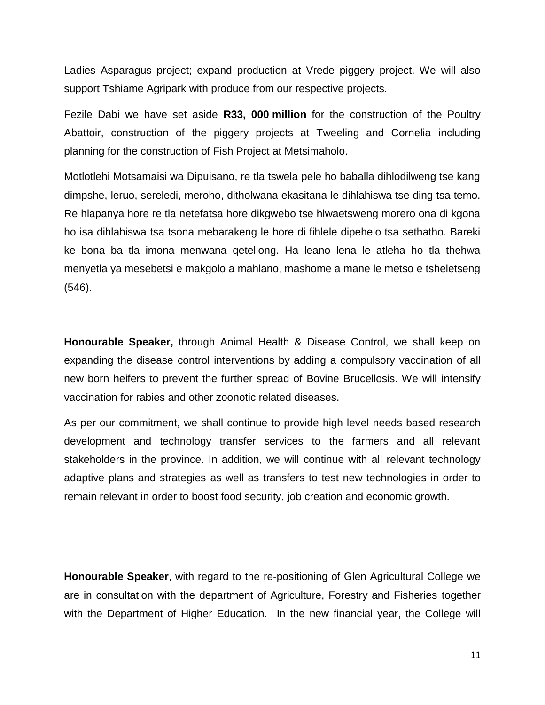Ladies Asparagus project; expand production at Vrede piggery project. We will also support Tshiame Agripark with produce from our respective projects.

Fezile Dabi we have set aside **R33, 000 million** for the construction of the Poultry Abattoir, construction of the piggery projects at Tweeling and Cornelia including planning for the construction of Fish Project at Metsimaholo.

Motlotlehi Motsamaisi wa Dipuisano, re tla tswela pele ho baballa dihlodilweng tse kang dimpshe, leruo, sereledi, meroho, ditholwana ekasitana le dihlahiswa tse ding tsa temo. Re hlapanya hore re tla netefatsa hore dikgwebo tse hlwaetsweng morero ona di kgona ho isa dihlahiswa tsa tsona mebarakeng le hore di fihlele dipehelo tsa sethatho. Bareki ke bona ba tla imona menwana qetellong. Ha leano lena le atleha ho tla thehwa menyetla ya mesebetsi e makgolo a mahlano, mashome a mane le metso e tsheletseng (546).

**Honourable Speaker,** through Animal Health & Disease Control, we shall keep on expanding the disease control interventions by adding a compulsory vaccination of all new born heifers to prevent the further spread of Bovine Brucellosis. We will intensify vaccination for rabies and other zoonotic related diseases.

As per our commitment, we shall continue to provide high level needs based research development and technology transfer services to the farmers and all relevant stakeholders in the province. In addition, we will continue with all relevant technology adaptive plans and strategies as well as transfers to test new technologies in order to remain relevant in order to boost food security, job creation and economic growth*.*

**Honourable Speaker**, with regard to the re-positioning of Glen Agricultural College we are in consultation with the department of Agriculture, Forestry and Fisheries together with the Department of Higher Education. In the new financial year, the College will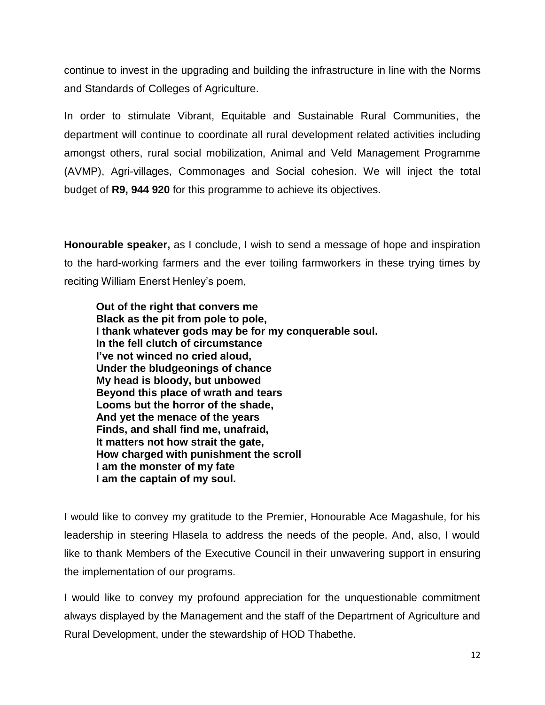continue to invest in the upgrading and building the infrastructure in line with the Norms and Standards of Colleges of Agriculture.

In order to stimulate Vibrant, Equitable and Sustainable Rural Communities, the department will continue to coordinate all rural development related activities including amongst others, rural social mobilization, Animal and Veld Management Programme (AVMP), Agri-villages, Commonages and Social cohesion. We will inject the total budget of **R9, 944 920** for this programme to achieve its objectives.

**Honourable speaker,** as I conclude, I wish to send a message of hope and inspiration to the hard-working farmers and the ever toiling farmworkers in these trying times by reciting William Enerst Henley"s poem,

**Out of the right that convers me Black as the pit from pole to pole, I thank whatever gods may be for my conquerable soul. In the fell clutch of circumstance I've not winced no cried aloud, Under the bludgeonings of chance My head is bloody, but unbowed Beyond this place of wrath and tears Looms but the horror of the shade, And yet the menace of the years Finds, and shall find me, unafraid, It matters not how strait the gate, How charged with punishment the scroll I am the monster of my fate I am the captain of my soul.**

I would like to convey my gratitude to the Premier, Honourable Ace Magashule, for his leadership in steering Hlasela to address the needs of the people. And, also, I would like to thank Members of the Executive Council in their unwavering support in ensuring the implementation of our programs.

I would like to convey my profound appreciation for the unquestionable commitment always displayed by the Management and the staff of the Department of Agriculture and Rural Development, under the stewardship of HOD Thabethe.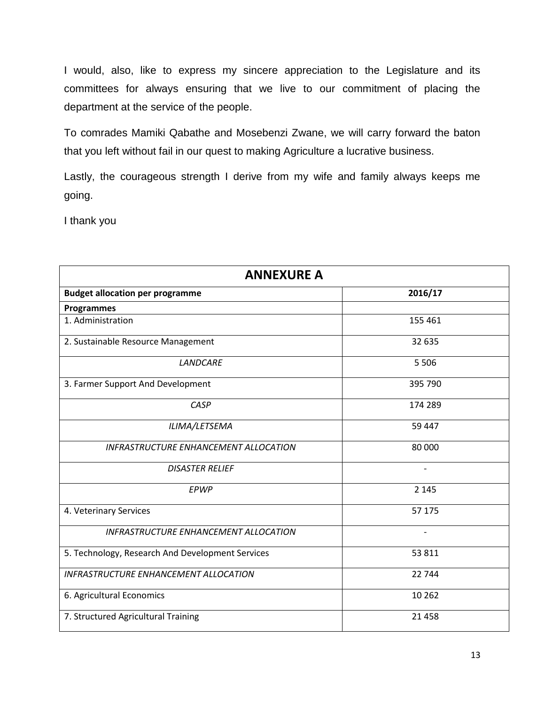I would, also, like to express my sincere appreciation to the Legislature and its committees for always ensuring that we live to our commitment of placing the department at the service of the people.

To comrades Mamiki Qabathe and Mosebenzi Zwane, we will carry forward the baton that you left without fail in our quest to making Agriculture a lucrative business.

Lastly, the courageous strength I derive from my wife and family always keeps me going.

I thank you

| <b>ANNEXURE A</b>                                |                          |
|--------------------------------------------------|--------------------------|
| <b>Budget allocation per programme</b>           | 2016/17                  |
| <b>Programmes</b>                                |                          |
| 1. Administration                                | 155 461                  |
| 2. Sustainable Resource Management               | 32 635                   |
| <b>LANDCARE</b>                                  | 5 5 0 6                  |
| 3. Farmer Support And Development                | 395 790                  |
| CASP                                             | 174 289                  |
| ILIMA/LETSEMA                                    | 59 447                   |
| <b>INFRASTRUCTURE ENHANCEMENT ALLOCATION</b>     | 80 000                   |
| <b>DISASTER RELIEF</b>                           | $\overline{\phantom{a}}$ |
| EPWP                                             | 2 1 4 5                  |
| 4. Veterinary Services                           | 57 175                   |
| INFRASTRUCTURE ENHANCEMENT ALLOCATION            |                          |
| 5. Technology, Research And Development Services | 53 811                   |
| <b>INFRASTRUCTURE ENHANCEMENT ALLOCATION</b>     | 22 744                   |
| 6. Agricultural Economics                        | 10 26 2                  |
| 7. Structured Agricultural Training              | 21 4 5 8                 |